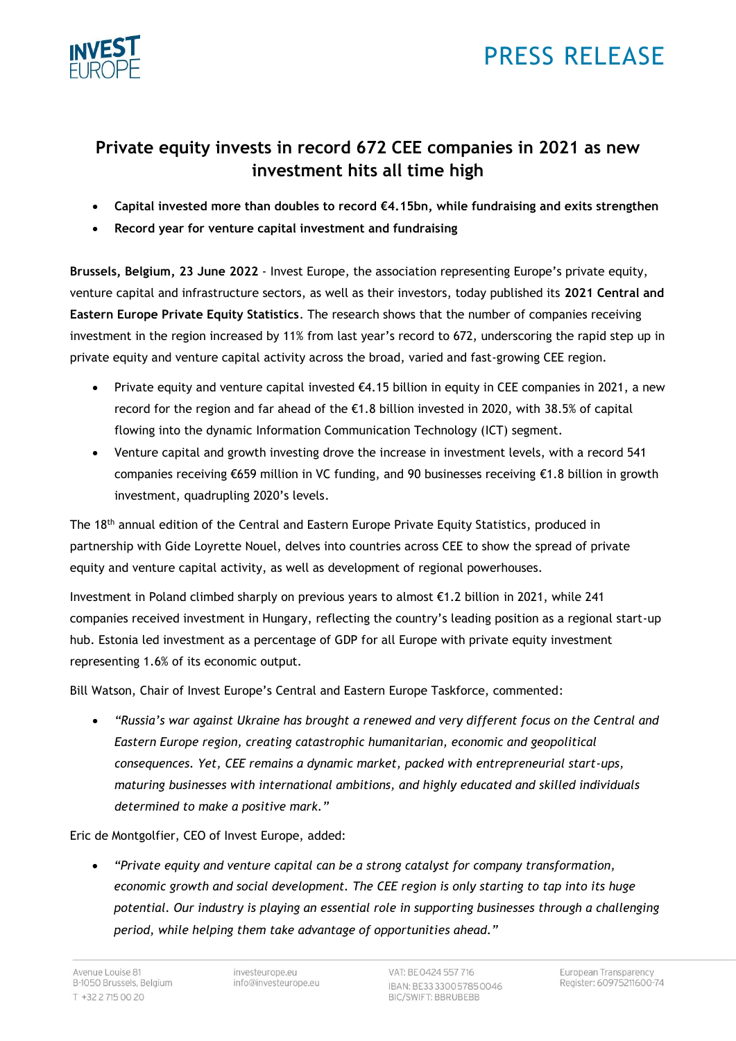



# **Private equity invests in record 672 CEE companies in 2021 as new investment hits all time high**

- **Capital invested more than doubles to record €4.15bn, while fundraising and exits strengthen**
- **Record year for venture capital investment and fundraising**

**Brussels, Belgium, 23 June 2022** - Invest Europe, the association representing Europe's private equity, venture capital and infrastructure sectors, as well as their investors, today published its **2021 Central and Eastern Europe Private Equity Statistics**. The research shows that the number of companies receiving investment in the region increased by 11% from last year's record to 672, underscoring the rapid step up in private equity and venture capital activity across the broad, varied and fast-growing CEE region.

- Private equity and venture capital invested  $\epsilon$ 4.15 billion in equity in CEE companies in 2021, a new record for the region and far ahead of the €1.8 billion invested in 2020, with 38.5% of capital flowing into the dynamic Information Communication Technology (ICT) segment.
- Venture capital and growth investing drove the increase in investment levels, with a record 541 companies receiving €659 million in VC funding, and 90 businesses receiving €1.8 billion in growth investment, quadrupling 2020's levels.

The 18<sup>th</sup> annual edition of the Central and Eastern Europe Private Equity Statistics, produced in partnership with Gide Loyrette Nouel, delves into countries across CEE to show the spread of private equity and venture capital activity, as well as development of regional powerhouses.

Investment in Poland climbed sharply on previous years to almost €1.2 billion in 2021, while 241 companies received investment in Hungary, reflecting the country's leading position as a regional start-up hub. Estonia led investment as a percentage of GDP for all Europe with private equity investment representing 1.6% of its economic output.

Bill Watson, Chair of Invest Europe's Central and Eastern Europe Taskforce, commented:

• *"Russia's war against Ukraine has brought a renewed and very different focus on the Central and Eastern Europe region, creating catastrophic humanitarian, economic and geopolitical consequences. Yet, CEE remains a dynamic market, packed with entrepreneurial start-ups, maturing businesses with international ambitions, and highly educated and skilled individuals determined to make a positive mark."*

Eric de Montgolfier, CEO of Invest Europe, added:

• *"Private equity and venture capital can be a strong catalyst for company transformation, economic growth and social development. The CEE region is only starting to tap into its huge potential. Our industry is playing an essential role in supporting businesses through a challenging period, while helping them take advantage of opportunities ahead."*